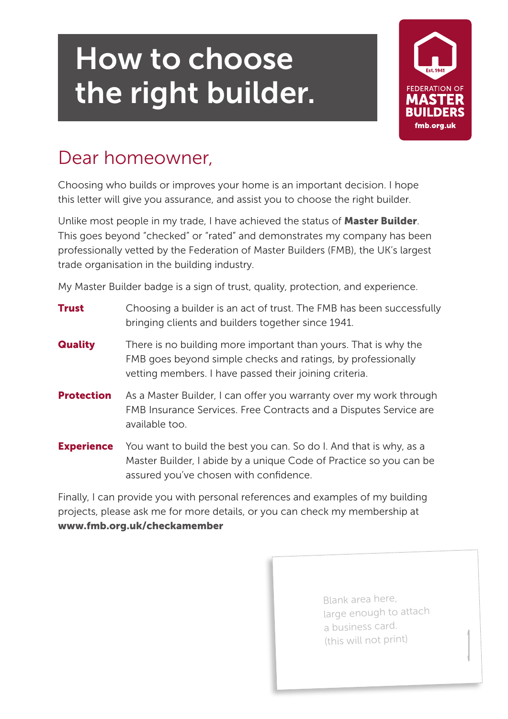## How to choose the right builder.



## Dear homeowner,

Choosing who builds or improves your home is an important decision. I hope this letter will give you assurance, and assist you to choose the right builder.

Unlike most people in my trade, I have achieved the status of Master Builder. This goes beyond "checked" or "rated" and demonstrates my company has been professionally vetted by the Federation of Master Builders (FMB), the UK's largest trade organisation in the building industry.

My Master Builder badge is a sign of trust, quality, protection, and experience.

| Trust             | Choosing a builder is an act of trust. The FMB has been successfully<br>bringing clients and builders together since 1941.                                                                |
|-------------------|-------------------------------------------------------------------------------------------------------------------------------------------------------------------------------------------|
| <b>Quality</b>    | There is no building more important than yours. That is why the<br>FMB goes beyond simple checks and ratings, by professionally<br>vetting members. I have passed their joining criteria. |
| <b>Protection</b> | As a Master Builder, I can offer you warranty over my work through<br>FMB Insurance Services. Free Contracts and a Disputes Service are<br>available too.                                 |
| <b>Experience</b> | You want to build the best you can. So do I. And that is why, as a<br>Master Builder, I abide by a unique Code of Practice so you can be<br>assured you've chosen with confidence.        |

Finally, I can provide you with personal references and examples of my building projects, please ask me for more details, or you can check my membership at www.fmb.org.uk/checkamember

> Blank area here, large enough to attach a business card. (this will not print)